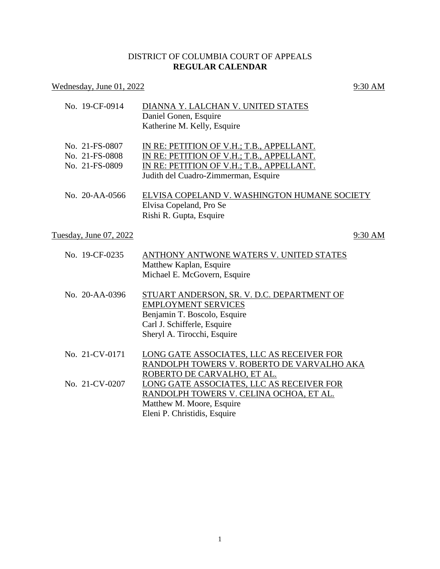## DISTRICT OF COLUMBIA COURT OF APPEALS **REGULAR CALENDAR**

# Wednesday, June  $01, 2022$  9:30 AM

| No. 19-CF-0914         | DIANNA Y. LALCHAN V. UNITED STATES           |
|------------------------|----------------------------------------------|
|                        | Daniel Gonen, Esquire                        |
|                        | Katherine M. Kelly, Esquire                  |
| No. 21-FS-0807         | IN RE: PETITION OF V.H.; T.B., APPELLANT.    |
| No. 21-FS-0808         | IN RE: PETITION OF V.H.; T.B., APPELLANT.    |
| No. 21-FS-0809         | IN RE: PETITION OF V.H.; T.B., APPELLANT.    |
|                        | Judith del Cuadro-Zimmerman, Esquire         |
| No. 20-AA-0566         | ELVISA COPELAND V. WASHINGTON HUMANE SOCIETY |
|                        | Elvisa Copeland, Pro Se                      |
|                        | Rishi R. Gupta, Esquire                      |
| Tuesday, June 07, 2022 | 9:30 AM                                      |
|                        |                                              |
| No. 19-CF-0235         | ANTHONY ANTWONE WATERS V. UNITED STATES      |
|                        | Matthew Kaplan, Esquire                      |
|                        | Michael E. McGovern, Esquire                 |
| No. 20-AA-0396         | STUART ANDERSON, SR. V. D.C. DEPARTMENT OF   |
|                        | <b>EMPLOYMENT SERVICES</b>                   |
|                        | Benjamin T. Boscolo, Esquire                 |
|                        | Carl J. Schifferle, Esquire                  |
|                        | Sheryl A. Tirocchi, Esquire                  |
| No. 21-CV-0171         | LONG GATE ASSOCIATES, LLC AS RECEIVER FOR    |
|                        | RANDOLPH TOWERS V. ROBERTO DE VARVALHO AKA   |
|                        | ROBERTO DE CARVALHO, ET AL.                  |
| No. 21-CV-0207         | LONG GATE ASSOCIATES, LLC AS RECEIVER FOR    |
|                        | RANDOLPH TOWERS V. CELINA OCHOA, ET AL.      |
|                        | Matthew M. Moore, Esquire                    |
|                        | Eleni P. Christidis, Esquire                 |
|                        |                                              |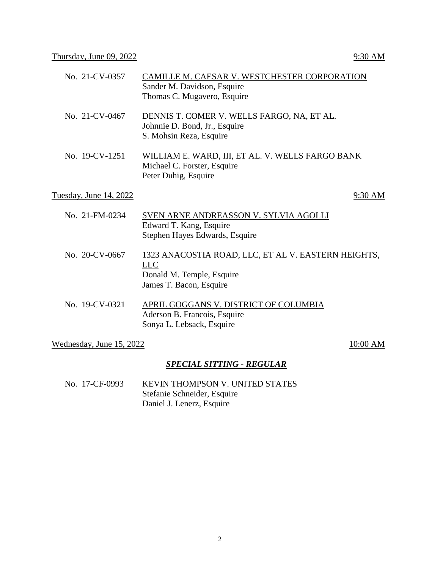| No. 21-CV-0357         | CAMILLE M. CAESAR V. WESTCHESTER CORPORATION<br>Sander M. Davidson, Esquire<br>Thomas C. Mugavero, Esquire         |
|------------------------|--------------------------------------------------------------------------------------------------------------------|
| No. 21-CV-0467         | DENNIS T. COMER V. WELLS FARGO, NA, ET AL.<br>Johnnie D. Bond, Jr., Esquire<br>S. Mohsin Reza, Esquire             |
| No. 19-CV-1251         | WILLIAM E. WARD, III, ET AL. V. WELLS FARGO BANK<br>Michael C. Forster, Esquire<br>Peter Duhig, Esquire            |
| Tuesday, June 14, 2022 | 9:30 AM                                                                                                            |
| No. 21-FM-0234         | SVEN ARNE ANDREASSON V. SYLVIA AGOLLI<br>Edward T. Kang, Esquire<br>Stephen Hayes Edwards, Esquire                 |
| No. 20-CV-0667         | 1323 ANACOSTIA ROAD, LLC, ET AL V. EASTERN HEIGHTS,<br>LLC<br>Donald M. Temple, Esquire<br>James T. Bacon, Esquire |
| No. 19-CV-0321         | APRIL GOGGANS V. DISTRICT OF COLUMBIA<br>Aderson B. Francois, Esquire<br>Sonya L. Lebsack, Esquire                 |

### Wednesday, June  $15, 2022$   $10:00$  AM

### *SPECIAL SITTING - REGULAR*

No. 17-CF-0993 KEVIN THOMPSON V. UNITED STATES Stefanie Schneider, Esquire Daniel J. Lenerz, Esquire